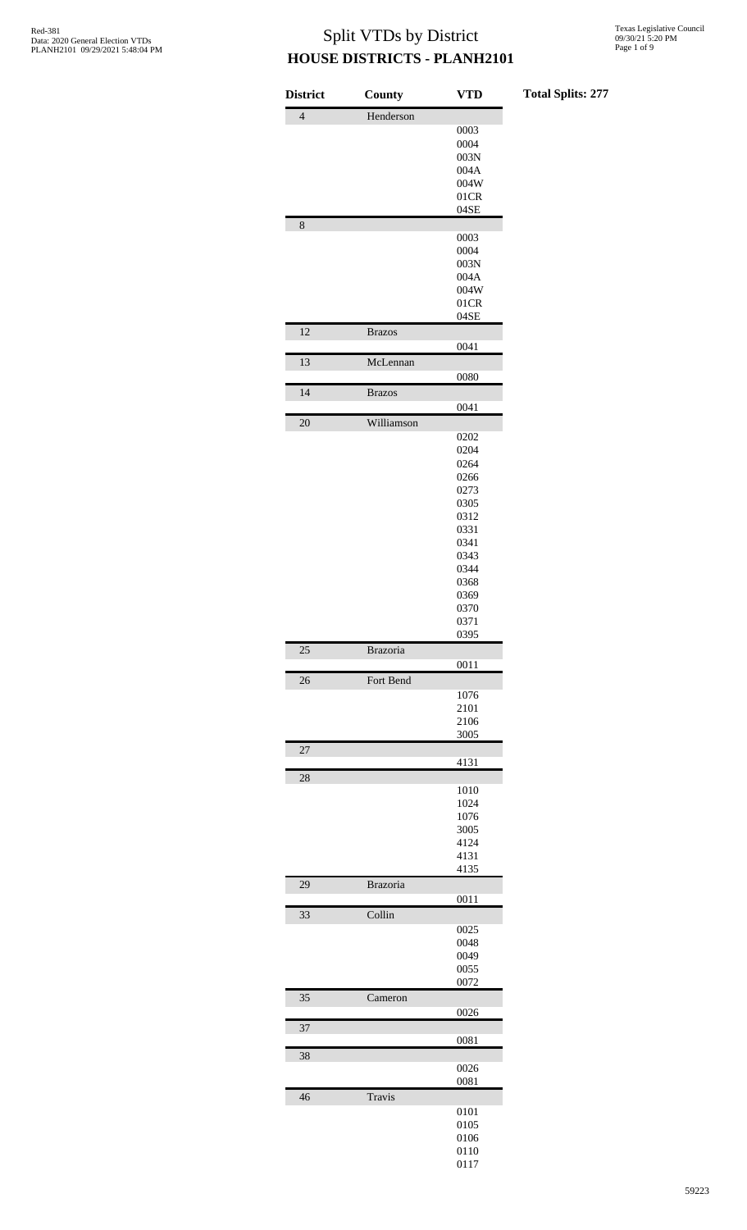|  |  | <b>Total Splits: 277</b> |  |
|--|--|--------------------------|--|
|--|--|--------------------------|--|

| County          | VTD                                            |
|-----------------|------------------------------------------------|
| Henderson       |                                                |
|                 | 0003                                           |
|                 | 0004                                           |
|                 | 003N                                           |
|                 | 004A                                           |
|                 | 004W                                           |
|                 | 01CR                                           |
|                 | 04SE                                           |
|                 |                                                |
|                 | 0003                                           |
|                 | 0004                                           |
|                 | 003N                                           |
|                 | 004A                                           |
|                 | 004W                                           |
|                 | 01CR                                           |
|                 | 04SE                                           |
| <b>Brazos</b>   |                                                |
|                 | 0041                                           |
| McLennan        |                                                |
|                 | 0080                                           |
| <b>Brazos</b>   |                                                |
|                 | 0041                                           |
| Williamson      |                                                |
|                 | 0202                                           |
|                 | 0204                                           |
|                 | 0264                                           |
|                 | 0266                                           |
|                 | 0273                                           |
|                 | 0305                                           |
|                 | 0312                                           |
|                 | 0331                                           |
|                 | 0341                                           |
|                 | 0343                                           |
|                 | 0344                                           |
|                 | 0368                                           |
|                 | 0369                                           |
|                 | 0370                                           |
|                 | 0371                                           |
|                 | 0395                                           |
| <b>Brazoria</b> |                                                |
|                 | 0011                                           |
| Fort Bend       |                                                |
|                 | 1076                                           |
|                 | 2101                                           |
|                 | 2106                                           |
|                 | 3005                                           |
|                 |                                                |
|                 | 4131                                           |
|                 |                                                |
|                 | 1010                                           |
|                 | 1024                                           |
|                 | 1076                                           |
|                 | 3005                                           |
|                 | 4124                                           |
|                 | 4131                                           |
|                 | 4135                                           |
|                 | 0011                                           |
|                 |                                                |
|                 | 0025                                           |
|                 | 0048                                           |
|                 | 0049                                           |
|                 | 0055                                           |
|                 | 0072                                           |
|                 |                                                |
|                 | 0026                                           |
|                 |                                                |
|                 | 0081                                           |
|                 |                                                |
|                 | 0026                                           |
|                 | 0081                                           |
|                 |                                                |
|                 |                                                |
|                 | 0101                                           |
|                 | 0105                                           |
|                 | 0106                                           |
|                 | 0110<br>0117                                   |
|                 | <b>Brazoria</b><br>Collin<br>Cameron<br>Travis |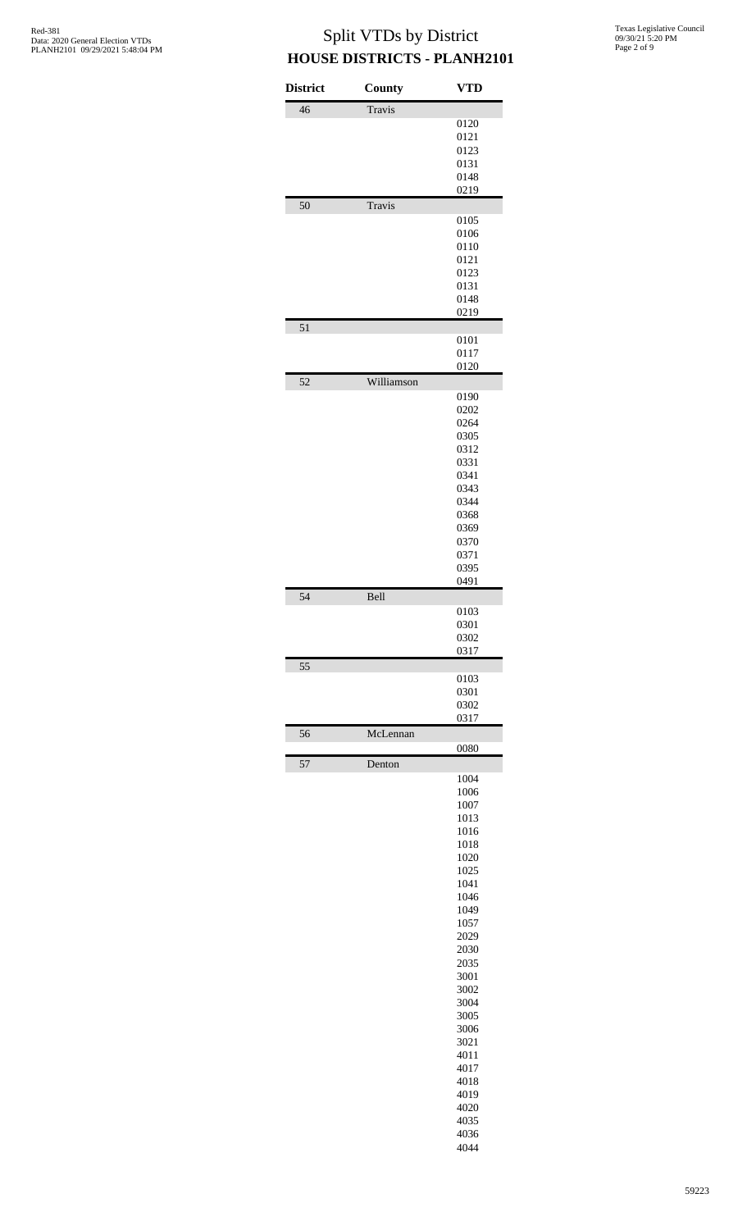| <b>District</b> | County     | <b>VTD</b>   |
|-----------------|------------|--------------|
| 46              | Travis     |              |
|                 |            | 0120         |
|                 |            | 0121         |
|                 |            | 0123         |
|                 |            | 0131         |
|                 |            | 0148         |
|                 |            | 0219         |
| 50              | Travis     |              |
|                 |            | 0105         |
|                 |            | 0106         |
|                 |            | 0110         |
|                 |            | 0121         |
|                 |            | 0123         |
|                 |            | 0131         |
|                 |            | 0148<br>0219 |
| 51              |            |              |
|                 |            | 0101         |
|                 |            | 0117         |
| 52              | Williamson | 0120         |
|                 |            | 0190         |
|                 |            | 0202         |
|                 |            | 0264         |
|                 |            | 0305         |
|                 |            | 0312         |
|                 |            | 0331         |
|                 |            | 0341         |
|                 |            | 0343         |
|                 |            | 0344         |
|                 |            | 0368         |
|                 |            | 0369         |
|                 |            | 0370<br>0371 |
|                 |            | 0395         |
|                 |            | 0491         |
| 54              | Bell       |              |
|                 |            | 0103         |
|                 |            | 0301         |
|                 |            | 0302         |
| 55              |            | 0317         |
|                 |            | 0103         |
|                 |            | 0301         |
|                 |            | 0302         |
|                 |            | 0317         |
| 56              | McLennan   | 0080         |
| 57              | Denton     |              |
|                 |            | 1004         |
|                 |            | 1006         |
|                 |            | 1007         |
|                 |            | 1013         |
|                 |            | 1016         |
|                 |            | 1018         |
|                 |            | 1020         |
|                 |            | 1025<br>1041 |
|                 |            | 1046         |
|                 |            | 1049         |
|                 |            | 1057         |
|                 |            | 2029         |
|                 |            | 2030         |
|                 |            | 2035         |
|                 |            | 3001         |
|                 |            | 3002         |
|                 |            | 3004         |
|                 |            | 3005         |
|                 |            | 3006         |
|                 |            | 3021         |
|                 |            | 4011         |
|                 |            | 4017         |
|                 |            | 4018<br>4019 |
|                 |            |              |
|                 |            |              |
|                 |            | 4020         |
|                 |            | 4035<br>4036 |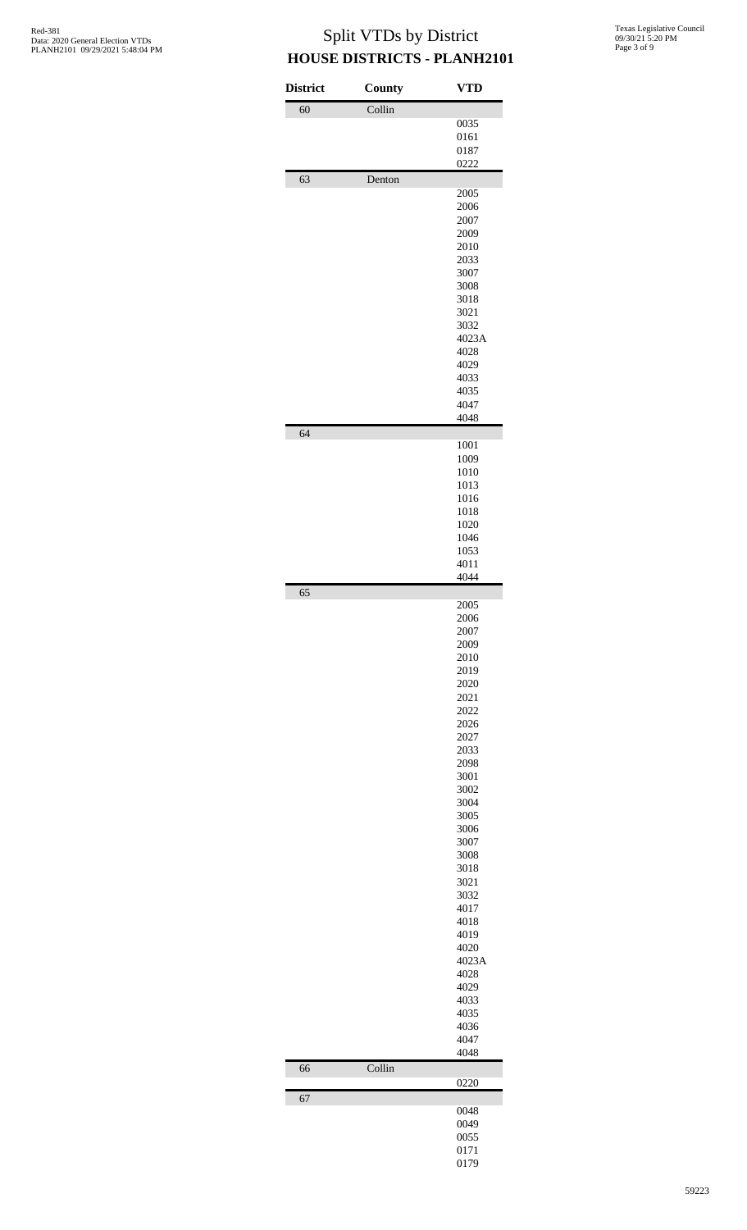| Collin<br>60<br>0035<br>0161<br>0187<br>0222<br>63<br>Denton<br>2005<br>2006<br>2007<br>2009<br>2010<br>2033<br>3007<br>3008<br>3018<br>3021<br>3032<br>4023A<br>4028<br>4029<br>4033<br>4035<br>4047<br>4048<br>64<br>1001<br>1009<br>1010<br>1013<br>1016<br>1018<br>1020<br>1046<br>1053<br>4011<br>4044<br>65<br>2005<br>2006<br>2007<br>2009<br>2010<br>2019<br>2020<br>2021<br>2022<br>2026<br>2027<br>2033<br>2098<br>3001<br>3002<br>3004<br>3005<br>3006<br>3007<br>3008<br>3018<br>3021<br>3032<br>4017<br>4018<br>4019<br>4020<br>4023A<br>4028<br>4029<br>4033<br>4035<br>4036<br>4047<br>4048 | Collin<br>66<br>0220<br>67<br>0048 | <b>District</b> | County | <b>VTD</b> |
|------------------------------------------------------------------------------------------------------------------------------------------------------------------------------------------------------------------------------------------------------------------------------------------------------------------------------------------------------------------------------------------------------------------------------------------------------------------------------------------------------------------------------------------------------------------------------------------------------------|------------------------------------|-----------------|--------|------------|
|                                                                                                                                                                                                                                                                                                                                                                                                                                                                                                                                                                                                            |                                    |                 |        |            |
|                                                                                                                                                                                                                                                                                                                                                                                                                                                                                                                                                                                                            |                                    |                 |        |            |
|                                                                                                                                                                                                                                                                                                                                                                                                                                                                                                                                                                                                            |                                    |                 |        |            |
|                                                                                                                                                                                                                                                                                                                                                                                                                                                                                                                                                                                                            |                                    |                 |        |            |
|                                                                                                                                                                                                                                                                                                                                                                                                                                                                                                                                                                                                            |                                    |                 |        |            |
|                                                                                                                                                                                                                                                                                                                                                                                                                                                                                                                                                                                                            |                                    |                 |        |            |
|                                                                                                                                                                                                                                                                                                                                                                                                                                                                                                                                                                                                            |                                    |                 |        |            |
|                                                                                                                                                                                                                                                                                                                                                                                                                                                                                                                                                                                                            |                                    |                 |        |            |
|                                                                                                                                                                                                                                                                                                                                                                                                                                                                                                                                                                                                            |                                    |                 |        |            |
|                                                                                                                                                                                                                                                                                                                                                                                                                                                                                                                                                                                                            |                                    |                 |        |            |
|                                                                                                                                                                                                                                                                                                                                                                                                                                                                                                                                                                                                            |                                    |                 |        |            |
|                                                                                                                                                                                                                                                                                                                                                                                                                                                                                                                                                                                                            |                                    |                 |        |            |
|                                                                                                                                                                                                                                                                                                                                                                                                                                                                                                                                                                                                            |                                    |                 |        |            |
|                                                                                                                                                                                                                                                                                                                                                                                                                                                                                                                                                                                                            |                                    |                 |        |            |
|                                                                                                                                                                                                                                                                                                                                                                                                                                                                                                                                                                                                            |                                    |                 |        |            |
|                                                                                                                                                                                                                                                                                                                                                                                                                                                                                                                                                                                                            |                                    |                 |        |            |
|                                                                                                                                                                                                                                                                                                                                                                                                                                                                                                                                                                                                            |                                    |                 |        |            |
|                                                                                                                                                                                                                                                                                                                                                                                                                                                                                                                                                                                                            |                                    |                 |        |            |
|                                                                                                                                                                                                                                                                                                                                                                                                                                                                                                                                                                                                            |                                    |                 |        |            |
|                                                                                                                                                                                                                                                                                                                                                                                                                                                                                                                                                                                                            |                                    |                 |        |            |
|                                                                                                                                                                                                                                                                                                                                                                                                                                                                                                                                                                                                            |                                    |                 |        |            |
|                                                                                                                                                                                                                                                                                                                                                                                                                                                                                                                                                                                                            |                                    |                 |        |            |
|                                                                                                                                                                                                                                                                                                                                                                                                                                                                                                                                                                                                            |                                    |                 |        |            |
|                                                                                                                                                                                                                                                                                                                                                                                                                                                                                                                                                                                                            |                                    |                 |        |            |
|                                                                                                                                                                                                                                                                                                                                                                                                                                                                                                                                                                                                            |                                    |                 |        |            |
|                                                                                                                                                                                                                                                                                                                                                                                                                                                                                                                                                                                                            |                                    |                 |        |            |
|                                                                                                                                                                                                                                                                                                                                                                                                                                                                                                                                                                                                            |                                    |                 |        |            |
|                                                                                                                                                                                                                                                                                                                                                                                                                                                                                                                                                                                                            |                                    |                 |        |            |
|                                                                                                                                                                                                                                                                                                                                                                                                                                                                                                                                                                                                            |                                    |                 |        |            |
|                                                                                                                                                                                                                                                                                                                                                                                                                                                                                                                                                                                                            |                                    |                 |        |            |
|                                                                                                                                                                                                                                                                                                                                                                                                                                                                                                                                                                                                            |                                    |                 |        |            |
|                                                                                                                                                                                                                                                                                                                                                                                                                                                                                                                                                                                                            |                                    |                 |        |            |
|                                                                                                                                                                                                                                                                                                                                                                                                                                                                                                                                                                                                            |                                    |                 |        |            |
|                                                                                                                                                                                                                                                                                                                                                                                                                                                                                                                                                                                                            |                                    |                 |        |            |
|                                                                                                                                                                                                                                                                                                                                                                                                                                                                                                                                                                                                            |                                    |                 |        |            |
|                                                                                                                                                                                                                                                                                                                                                                                                                                                                                                                                                                                                            |                                    |                 |        |            |
|                                                                                                                                                                                                                                                                                                                                                                                                                                                                                                                                                                                                            |                                    |                 |        |            |
|                                                                                                                                                                                                                                                                                                                                                                                                                                                                                                                                                                                                            |                                    |                 |        |            |
|                                                                                                                                                                                                                                                                                                                                                                                                                                                                                                                                                                                                            |                                    |                 |        |            |
|                                                                                                                                                                                                                                                                                                                                                                                                                                                                                                                                                                                                            |                                    |                 |        |            |
|                                                                                                                                                                                                                                                                                                                                                                                                                                                                                                                                                                                                            |                                    |                 |        |            |
|                                                                                                                                                                                                                                                                                                                                                                                                                                                                                                                                                                                                            |                                    |                 |        |            |
|                                                                                                                                                                                                                                                                                                                                                                                                                                                                                                                                                                                                            |                                    |                 |        |            |
|                                                                                                                                                                                                                                                                                                                                                                                                                                                                                                                                                                                                            |                                    |                 |        |            |
|                                                                                                                                                                                                                                                                                                                                                                                                                                                                                                                                                                                                            |                                    |                 |        |            |
|                                                                                                                                                                                                                                                                                                                                                                                                                                                                                                                                                                                                            |                                    |                 |        |            |
|                                                                                                                                                                                                                                                                                                                                                                                                                                                                                                                                                                                                            |                                    |                 |        |            |
|                                                                                                                                                                                                                                                                                                                                                                                                                                                                                                                                                                                                            |                                    |                 |        |            |
|                                                                                                                                                                                                                                                                                                                                                                                                                                                                                                                                                                                                            |                                    |                 |        |            |
|                                                                                                                                                                                                                                                                                                                                                                                                                                                                                                                                                                                                            |                                    |                 |        |            |
|                                                                                                                                                                                                                                                                                                                                                                                                                                                                                                                                                                                                            |                                    |                 |        |            |
|                                                                                                                                                                                                                                                                                                                                                                                                                                                                                                                                                                                                            |                                    |                 |        |            |
|                                                                                                                                                                                                                                                                                                                                                                                                                                                                                                                                                                                                            |                                    |                 |        |            |
|                                                                                                                                                                                                                                                                                                                                                                                                                                                                                                                                                                                                            |                                    |                 |        |            |
|                                                                                                                                                                                                                                                                                                                                                                                                                                                                                                                                                                                                            |                                    |                 |        |            |
| 0049                                                                                                                                                                                                                                                                                                                                                                                                                                                                                                                                                                                                       |                                    |                 |        |            |
|                                                                                                                                                                                                                                                                                                                                                                                                                                                                                                                                                                                                            | 0055                               |                 |        |            |
|                                                                                                                                                                                                                                                                                                                                                                                                                                                                                                                                                                                                            |                                    |                 |        | 0179       |
| 0171                                                                                                                                                                                                                                                                                                                                                                                                                                                                                                                                                                                                       |                                    |                 |        |            |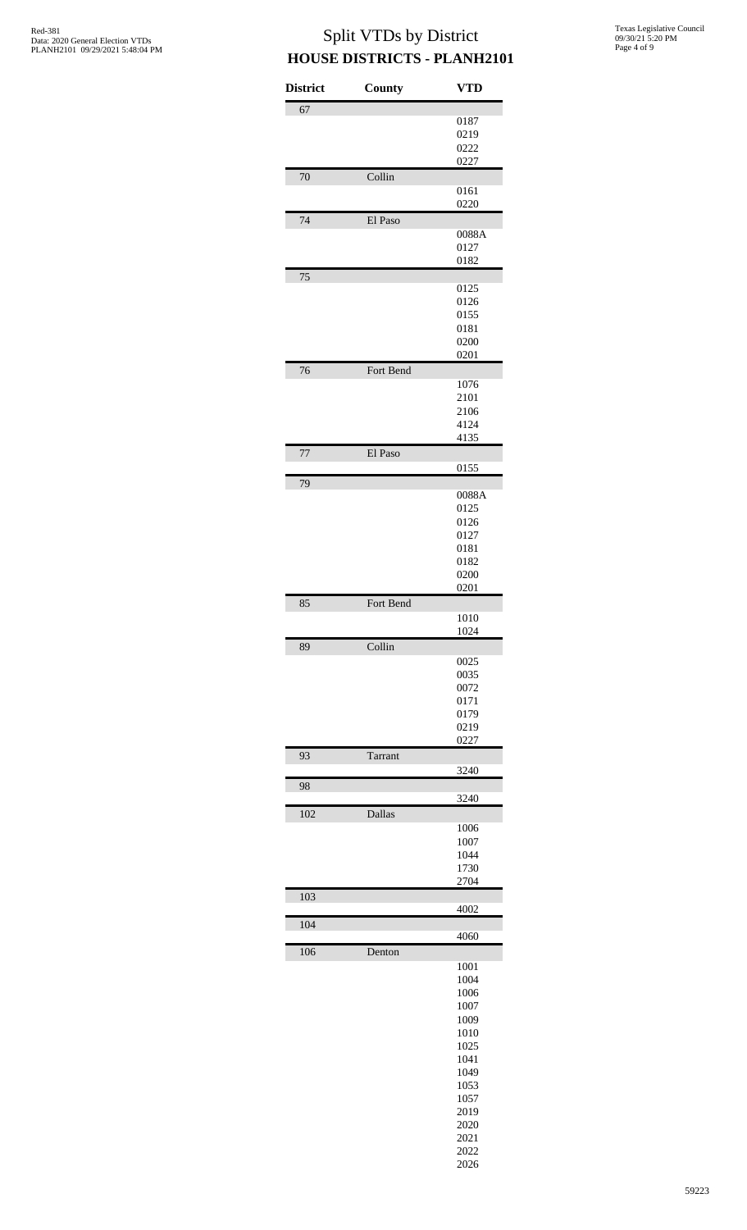| <b>District</b> | <b>County</b> | <b>VTD</b>    |
|-----------------|---------------|---------------|
| 67              |               |               |
|                 |               | 0187          |
|                 |               | 0219          |
|                 |               | 0222          |
|                 |               | 0227          |
| 70              | Collin        |               |
|                 |               | 0161          |
|                 |               | 0220          |
| 74              | El Paso       |               |
|                 |               | 0088A         |
|                 |               | 0127          |
|                 |               | 0182          |
| 75              |               |               |
|                 |               | 0125          |
|                 |               | 0126          |
|                 |               | 0155          |
|                 |               | 0181          |
|                 |               | 0200          |
|                 |               | 0201          |
| 76              | Fort Bend     |               |
|                 |               | 1076          |
|                 |               | 2101          |
|                 |               | 2106          |
|                 |               | 4124          |
|                 |               | 4135          |
| 77              | El Paso       |               |
|                 |               | 0155          |
| 79              |               |               |
|                 |               | 0088A<br>0125 |
|                 |               | 0126          |
|                 |               | 0127          |
|                 |               | 0181          |
|                 |               | 0182          |
|                 |               | 0200          |
|                 |               | 0201          |
| 85              | Fort Bend     |               |
|                 |               | 1010          |
|                 |               | 1024          |
| 89              | Collin        |               |
|                 |               | 0025          |
|                 |               | 0035          |
|                 |               | 0072          |
|                 |               | 0171          |
|                 |               | 0179          |
|                 |               | 0219          |
|                 |               | 0227          |
| 93              | Tarrant       |               |
|                 |               | 3240          |
| 98              |               |               |
|                 |               | 3240          |
| 102             | Dallas        |               |
|                 |               | 1006          |
|                 |               | 1007          |
|                 |               | 1044          |
|                 |               | 1730          |
|                 |               | 2704          |
| 103             |               |               |
|                 |               | 4002          |
| 104             |               |               |
|                 |               | 4060          |
| 106             | Denton        |               |
|                 |               | 1001          |
|                 |               | 1004          |
|                 |               | 1006          |
|                 |               | 1007          |
|                 |               | 1009          |
|                 |               | 1010          |
|                 |               | 1025          |
|                 |               | 1041          |
|                 |               | 1049          |
|                 |               | 1053          |
|                 |               | 1057          |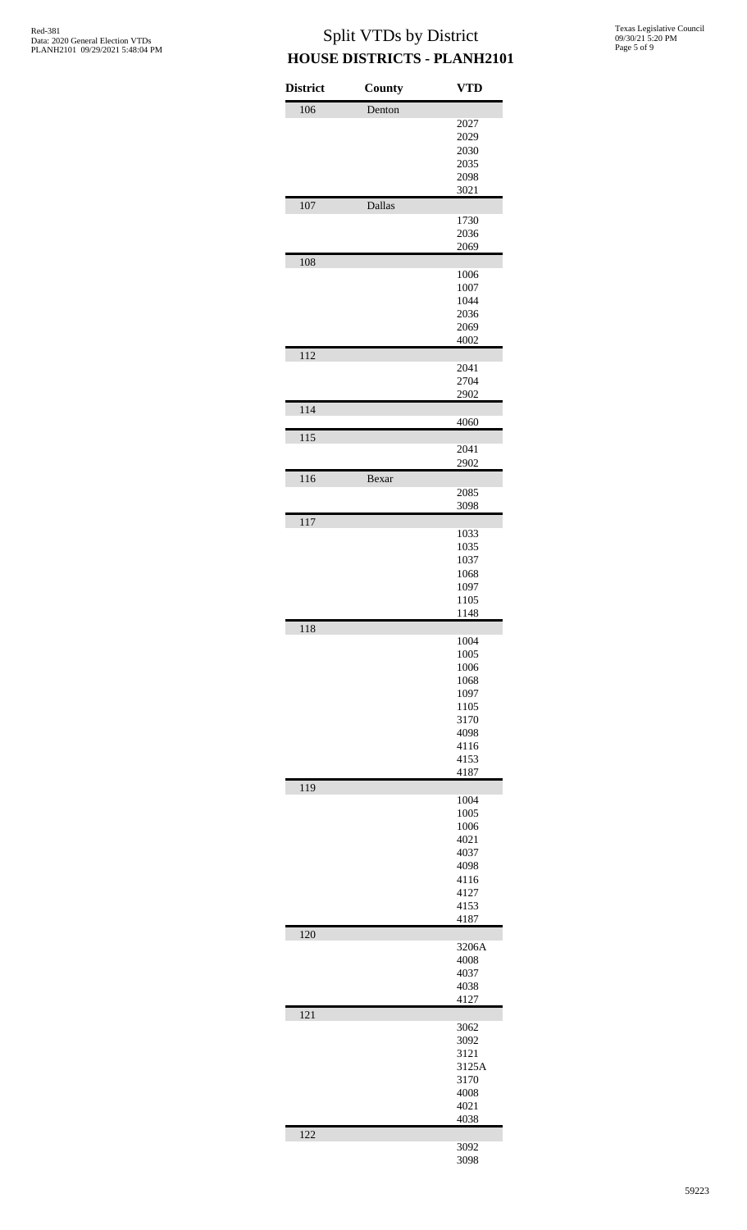| <b>District</b> | County | <b>VTD</b>   |
|-----------------|--------|--------------|
| 106             | Denton |              |
|                 |        | 2027         |
|                 |        | 2029         |
|                 |        | 2030         |
|                 |        | 2035         |
|                 |        | 2098         |
|                 |        | 3021         |
| 107             | Dallas |              |
|                 |        | 1730         |
|                 |        | 2036         |
|                 |        | 2069         |
| 108             |        | 1006         |
|                 |        | 1007         |
|                 |        | 1044         |
|                 |        | 2036         |
|                 |        | 2069         |
|                 |        | 4002         |
| 112             |        |              |
|                 |        | 2041         |
|                 |        | 2704         |
|                 |        | 2902         |
| 114             |        | 4060         |
| 115             |        |              |
|                 |        | 2041         |
|                 |        | 2902         |
| 116             | Bexar  |              |
|                 |        | 2085         |
|                 |        | 3098         |
| 117             |        |              |
|                 |        | 1033         |
|                 |        | 1035         |
|                 |        | 1037         |
|                 |        | 1068<br>1097 |
|                 |        | 1105         |
|                 |        | 1148         |
| 118             |        |              |
|                 |        | 1004         |
|                 |        | 1005         |
|                 |        | 1006         |
|                 |        | 1068         |
|                 |        | 1097         |
|                 |        | 1105         |
|                 |        | 3170<br>4098 |
|                 |        | 4116         |
|                 |        | 4153         |
|                 |        | 4187         |
| 119             |        |              |
|                 |        | 1004         |
|                 |        | 1005         |
|                 |        | 1006         |
|                 |        | 4021         |
|                 |        | 4037<br>4098 |
|                 |        | 4116         |
|                 |        | 4127         |
|                 |        | 4153         |
|                 |        | 4187         |
| 120             |        |              |
|                 |        | 3206A        |
|                 |        | 4008         |
|                 |        | 4037<br>4038 |
|                 |        | 4127         |
| 121             |        |              |
|                 |        | 3062         |
|                 |        | 3092         |
|                 |        | 3121         |
|                 |        | 3125A        |
|                 |        | 3170         |
|                 |        | 4008         |
|                 |        | 4021         |
|                 |        | 4038         |
| 122             |        | 3092         |
|                 |        | 3098         |
|                 |        |              |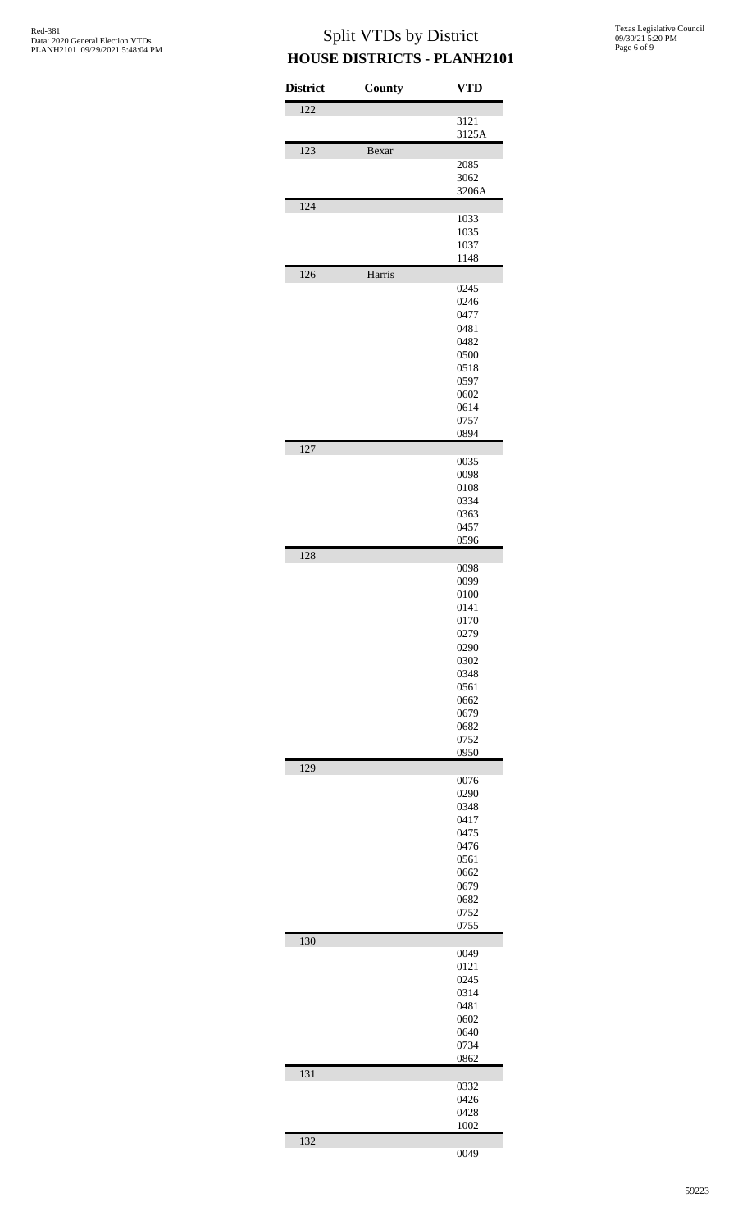| <b>District</b>  | County | <b>VTD</b>   |
|------------------|--------|--------------|
| $\overline{122}$ |        |              |
|                  |        | 3121         |
| 123              | Bexar  | 3125A        |
|                  |        | 2085         |
|                  |        | 3062         |
|                  |        | 3206A        |
| 124              |        | 1033         |
|                  |        | 1035         |
|                  |        | 1037         |
|                  |        | 1148         |
| 126              | Harris | 0245         |
|                  |        | 0246         |
|                  |        | 0477         |
|                  |        | 0481         |
|                  |        | 0482<br>0500 |
|                  |        | 0518         |
|                  |        | 0597         |
|                  |        | 0602         |
|                  |        | 0614<br>0757 |
|                  |        | 0894         |
| 127              |        |              |
|                  |        | 0035<br>0098 |
|                  |        | 0108         |
|                  |        | 0334         |
|                  |        | 0363         |
|                  |        | 0457<br>0596 |
| 128              |        |              |
|                  |        | 0098         |
|                  |        | 0099         |
|                  |        | 0100<br>0141 |
|                  |        | 0170         |
|                  |        | 0279         |
|                  |        | 0290<br>0302 |
|                  |        | 0348         |
|                  |        | 0561         |
|                  |        | 0662         |
|                  |        | 0679<br>0682 |
|                  |        | 0752         |
|                  |        | 0950         |
| 129              |        | 0076         |
|                  |        | 0290         |
|                  |        | 0348         |
|                  |        | 0417         |
|                  |        | 0475<br>0476 |
|                  |        | 0561         |
|                  |        | 0662         |
|                  |        | 0679<br>0682 |
|                  |        | 0752         |
|                  |        | 0755         |
| 130              |        | 0049         |
|                  |        | 0121         |
|                  |        | 0245         |
|                  |        | 0314         |
|                  |        | 0481<br>0602 |
|                  |        | 0640         |
|                  |        | 0734         |
|                  |        | 0862         |
| 131              |        | 0332         |
|                  |        | 0426         |
|                  |        | 0428         |
|                  |        | 1002         |
| 132              |        | 0049         |
|                  |        |              |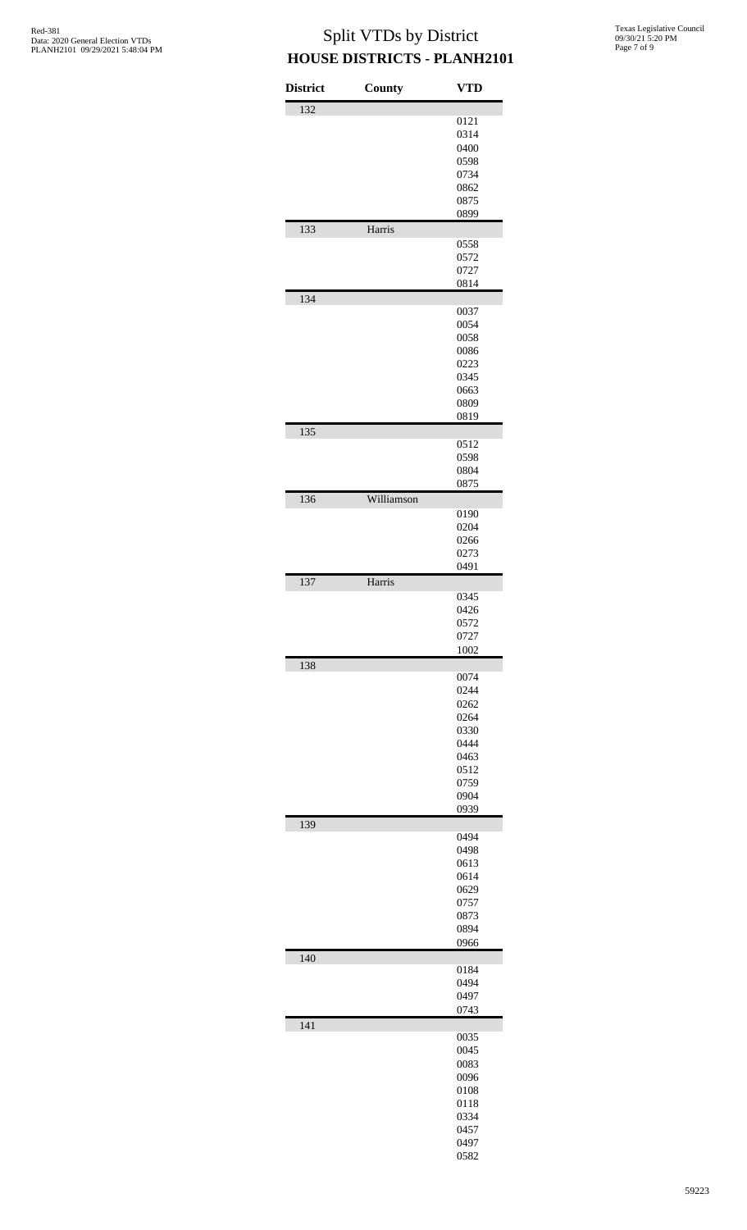Texas Legislative Council 09/30/21 5:20 PM Page 7 of 9

| <b>District</b> | County     | <b>VTD</b>   |
|-----------------|------------|--------------|
| 132             |            |              |
|                 |            | 0121<br>0314 |
|                 |            | 0400         |
|                 |            | 0598         |
|                 |            | 0734         |
|                 |            | 0862         |
|                 |            | 0875<br>0899 |
| 133             | Harris     |              |
|                 |            | 0558         |
|                 |            | 0572         |
|                 |            | 0727         |
|                 |            | 0814         |
| 134             |            | 0037         |
|                 |            | 0054         |
|                 |            | 0058         |
|                 |            | 0086         |
|                 |            | 0223<br>0345 |
|                 |            | 0663         |
|                 |            | 0809         |
|                 |            | 0819         |
| 135             |            |              |
|                 |            | 0512<br>0598 |
|                 |            | 0804         |
|                 |            | 0875         |
| 136             | Williamson |              |
|                 |            | 0190         |
|                 |            | 0204         |
|                 |            | 0266<br>0273 |
|                 |            | 0491         |
| 137             | Harris     |              |
|                 |            | 0345         |
|                 |            | 0426         |
|                 |            | 0572         |
|                 |            | 0727<br>1002 |
| 138             |            |              |
|                 |            | 0074         |
|                 |            | 0244         |
|                 |            | 0262         |
|                 |            | 0264<br>0330 |
|                 |            | 0444         |
|                 |            | 0463         |
|                 |            | 0512         |
|                 |            | 0759<br>0904 |
|                 |            | 0939         |
| 139             |            |              |
|                 |            | 0494         |
|                 |            | 0498         |
|                 |            | 0613<br>0614 |
|                 |            | 0629         |
|                 |            | 0757         |
|                 |            | 0873         |
|                 |            | 0894<br>0966 |
| 140             |            |              |
|                 |            | 0184         |
|                 |            | 0494         |
|                 |            | 0497<br>0743 |
| 141             |            |              |
|                 |            | 0035         |
|                 |            | 0045         |
|                 |            | 0083         |
|                 |            | 0096         |
|                 |            | 0108<br>0118 |
|                 |            | 0334         |
|                 |            | 0457         |
|                 |            | 0497         |
|                 |            | 0582         |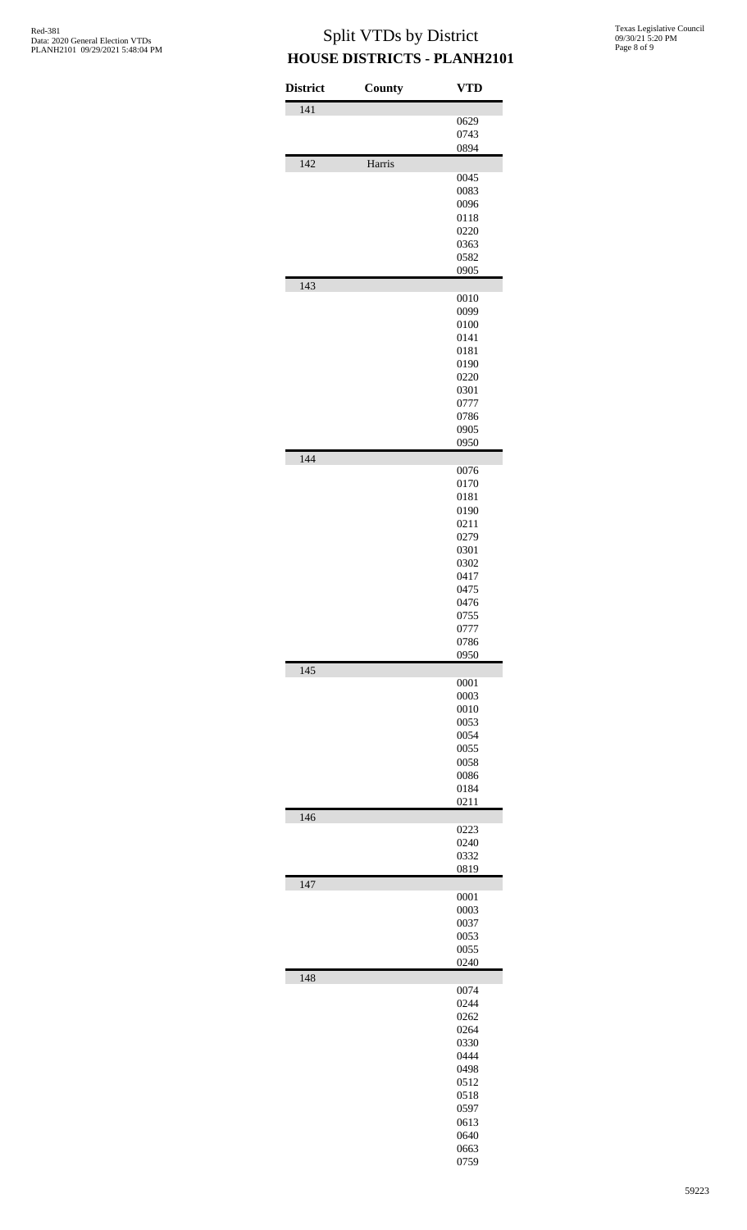| <b>District</b> | County | <b>VTD</b>   |
|-----------------|--------|--------------|
| 141             |        |              |
|                 |        | 0629         |
|                 |        | 0743<br>0894 |
| 142             | Harris |              |
|                 |        | 0045         |
|                 |        | 0083         |
|                 |        | 0096         |
|                 |        | 0118         |
|                 |        | 0220         |
|                 |        | 0363         |
|                 |        | 0582<br>0905 |
| 143             |        |              |
|                 |        | 0010         |
|                 |        | 0099         |
|                 |        | 0100         |
|                 |        | 0141         |
|                 |        | 0181<br>0190 |
|                 |        | 0220         |
|                 |        | 0301         |
|                 |        | 0777         |
|                 |        | 0786         |
|                 |        | 0905         |
|                 |        | 0950         |
| 144             |        | 0076         |
|                 |        | 0170         |
|                 |        | 0181         |
|                 |        | 0190         |
|                 |        | 0211         |
|                 |        | 0279<br>0301 |
|                 |        | 0302         |
|                 |        | 0417         |
|                 |        | 0475         |
|                 |        | 0476         |
|                 |        | 0755         |
|                 |        | 0777         |
|                 |        | 0786<br>0950 |
| 145             |        |              |
|                 |        | 0001         |
|                 |        | 0003<br>0010 |
|                 |        | 0053         |
|                 |        | 0054         |
|                 |        | 0055         |
|                 |        | 0058         |
|                 |        | 0086         |
|                 |        | 0184         |
| 146             |        | 0211         |
|                 |        | 0223         |
|                 |        | 0240         |
|                 |        | 0332         |
| 147             |        | 0819         |
|                 |        | 0001         |
|                 |        | 0003         |
|                 |        | 0037         |
|                 |        | 0053         |
|                 |        | 0055<br>0240 |
| 148             |        |              |
|                 |        | 0074         |
|                 |        | 0244         |
|                 |        | 0262         |
|                 |        | 0264         |
|                 |        | 0330<br>0444 |
|                 |        | 0498         |
|                 |        | 0512         |
|                 |        | 0518         |
|                 |        | 0597         |
|                 |        | 0613         |
|                 |        | 0640<br>0663 |
|                 |        | 0759         |
|                 |        |              |